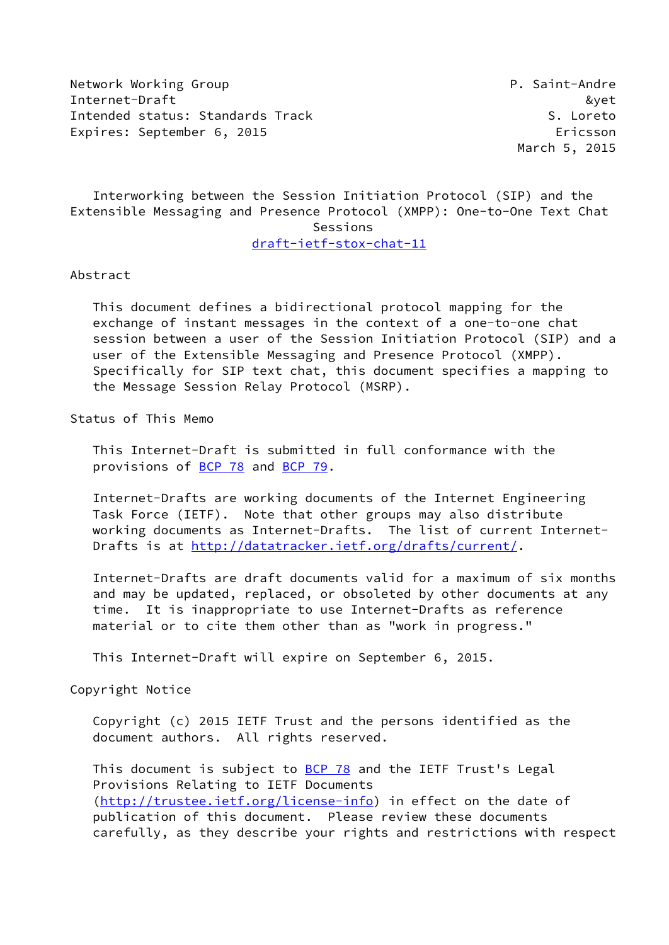Network Working Group **P. Saint-Andre** Internet-Draft &yet Intended status: Standards Track S. Loreto Expires: September 6, 2015 Expires: Ericsson

March 5, 2015

 Interworking between the Session Initiation Protocol (SIP) and the Extensible Messaging and Presence Protocol (XMPP): One-to-One Text Chat Sessions

[draft-ietf-stox-chat-11](https://datatracker.ietf.org/doc/pdf/draft-ietf-stox-chat-11)

### Abstract

 This document defines a bidirectional protocol mapping for the exchange of instant messages in the context of a one-to-one chat session between a user of the Session Initiation Protocol (SIP) and a user of the Extensible Messaging and Presence Protocol (XMPP). Specifically for SIP text chat, this document specifies a mapping to the Message Session Relay Protocol (MSRP).

Status of This Memo

 This Internet-Draft is submitted in full conformance with the provisions of [BCP 78](https://datatracker.ietf.org/doc/pdf/bcp78) and [BCP 79](https://datatracker.ietf.org/doc/pdf/bcp79).

 Internet-Drafts are working documents of the Internet Engineering Task Force (IETF). Note that other groups may also distribute working documents as Internet-Drafts. The list of current Internet- Drafts is at<http://datatracker.ietf.org/drafts/current/>.

 Internet-Drafts are draft documents valid for a maximum of six months and may be updated, replaced, or obsoleted by other documents at any time. It is inappropriate to use Internet-Drafts as reference material or to cite them other than as "work in progress."

This Internet-Draft will expire on September 6, 2015.

Copyright Notice

 Copyright (c) 2015 IETF Trust and the persons identified as the document authors. All rights reserved.

This document is subject to **[BCP 78](https://datatracker.ietf.org/doc/pdf/bcp78)** and the IETF Trust's Legal Provisions Relating to IETF Documents [\(http://trustee.ietf.org/license-info](http://trustee.ietf.org/license-info)) in effect on the date of publication of this document. Please review these documents carefully, as they describe your rights and restrictions with respect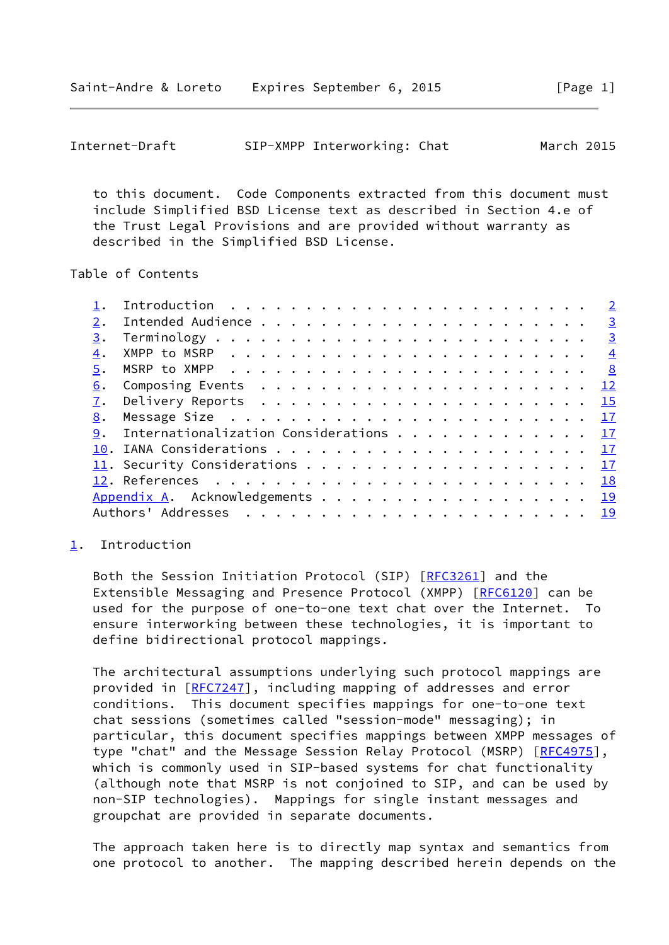<span id="page-1-1"></span>

|  | Internet-Draft |  | SIP-XMPP Interworking: Chat | March 2015 |
|--|----------------|--|-----------------------------|------------|
|--|----------------|--|-----------------------------|------------|

 to this document. Code Components extracted from this document must include Simplified BSD License text as described in Section 4.e of the Trust Legal Provisions and are provided without warranty as described in the Simplified BSD License.

Table of Contents

|    | Introduction $\cdots \cdots \cdots \cdots \cdots \cdots \cdots \cdots \cdots$             |  |
|----|-------------------------------------------------------------------------------------------|--|
|    |                                                                                           |  |
|    |                                                                                           |  |
| 4. | XMPP to MSRP $\ldots \ldots \ldots \ldots \ldots \ldots \ldots \ldots \ldots \frac{4}{2}$ |  |
|    |                                                                                           |  |
| 6. |                                                                                           |  |
|    |                                                                                           |  |
| 8. |                                                                                           |  |
|    | 9. Internationalization Considerations 17                                                 |  |
|    |                                                                                           |  |
|    | 11. Security Considerations 17                                                            |  |
|    |                                                                                           |  |
|    | Appendix A. Acknowledgements 19                                                           |  |
|    |                                                                                           |  |
|    |                                                                                           |  |

#### <span id="page-1-0"></span>[1](#page-1-0). Introduction

Both the Session Initiation Protocol (SIP) [[RFC3261\]](https://datatracker.ietf.org/doc/pdf/rfc3261) and the Extensible Messaging and Presence Protocol (XMPP) [[RFC6120](https://datatracker.ietf.org/doc/pdf/rfc6120)] can be used for the purpose of one-to-one text chat over the Internet. To ensure interworking between these technologies, it is important to define bidirectional protocol mappings.

 The architectural assumptions underlying such protocol mappings are provided in [\[RFC7247](https://datatracker.ietf.org/doc/pdf/rfc7247)], including mapping of addresses and error conditions. This document specifies mappings for one-to-one text chat sessions (sometimes called "session-mode" messaging); in particular, this document specifies mappings between XMPP messages of type "chat" and the Message Session Relay Protocol (MSRP) [[RFC4975](https://datatracker.ietf.org/doc/pdf/rfc4975)], which is commonly used in SIP-based systems for chat functionality (although note that MSRP is not conjoined to SIP, and can be used by non-SIP technologies). Mappings for single instant messages and groupchat are provided in separate documents.

 The approach taken here is to directly map syntax and semantics from one protocol to another. The mapping described herein depends on the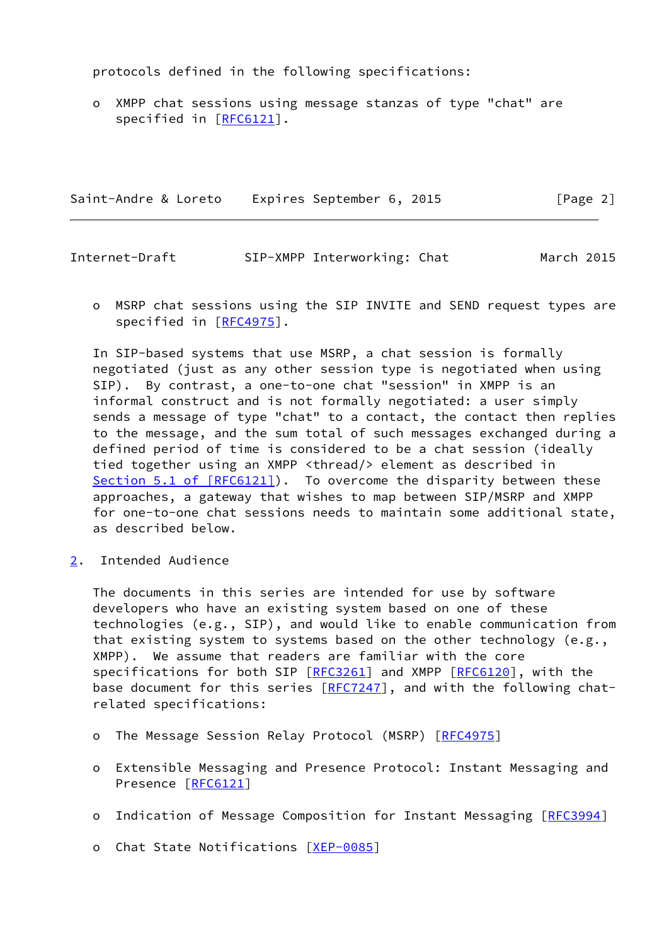protocols defined in the following specifications:

 o XMPP chat sessions using message stanzas of type "chat" are specified in [\[RFC6121](https://datatracker.ietf.org/doc/pdf/rfc6121)].

Saint-Andre & Loreto Expires September 6, 2015 [Page 2]

<span id="page-2-1"></span>Internet-Draft SIP-XMPP Interworking: Chat March 2015

 o MSRP chat sessions using the SIP INVITE and SEND request types are specified in [\[RFC4975](https://datatracker.ietf.org/doc/pdf/rfc4975)].

 In SIP-based systems that use MSRP, a chat session is formally negotiated (just as any other session type is negotiated when using SIP). By contrast, a one-to-one chat "session" in XMPP is an informal construct and is not formally negotiated: a user simply sends a message of type "chat" to a contact, the contact then replies to the message, and the sum total of such messages exchanged during a defined period of time is considered to be a chat session (ideally tied together using an XMPP <thread/> element as described in Section [5.1 of \[RFC6121\]](https://datatracker.ietf.org/doc/pdf/rfc6121#section-5.1)). To overcome the disparity between these approaches, a gateway that wishes to map between SIP/MSRP and XMPP for one-to-one chat sessions needs to maintain some additional state, as described below.

<span id="page-2-0"></span>[2](#page-2-0). Intended Audience

 The documents in this series are intended for use by software developers who have an existing system based on one of these technologies (e.g., SIP), and would like to enable communication from that existing system to systems based on the other technology (e.g., XMPP). We assume that readers are familiar with the core specifications for both SIP [\[RFC3261](https://datatracker.ietf.org/doc/pdf/rfc3261)] and XMPP [\[RFC6120](https://datatracker.ietf.org/doc/pdf/rfc6120)], with the base document for this series [[RFC7247](https://datatracker.ietf.org/doc/pdf/rfc7247)], and with the following chatrelated specifications:

- o The Message Session Relay Protocol (MSRP) [\[RFC4975](https://datatracker.ietf.org/doc/pdf/rfc4975)]
- o Extensible Messaging and Presence Protocol: Instant Messaging and Presence [\[RFC6121](https://datatracker.ietf.org/doc/pdf/rfc6121)]
- o Indication of Message Composition for Instant Messaging [[RFC3994\]](https://datatracker.ietf.org/doc/pdf/rfc3994)
- o Chat State Notifications [\[XEP-0085](#page-20-2)]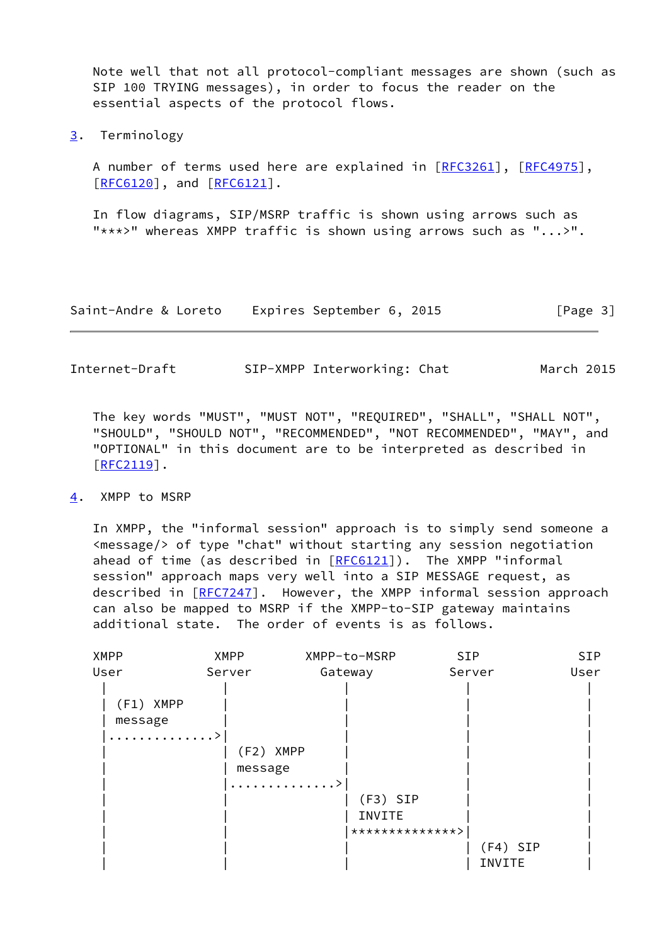Note well that not all protocol-compliant messages are shown (such as SIP 100 TRYING messages), in order to focus the reader on the essential aspects of the protocol flows.

<span id="page-3-0"></span>[3](#page-3-0). Terminology

 A number of terms used here are explained in [\[RFC3261](https://datatracker.ietf.org/doc/pdf/rfc3261)], [\[RFC4975](https://datatracker.ietf.org/doc/pdf/rfc4975)], [\[RFC6120](https://datatracker.ietf.org/doc/pdf/rfc6120)], and [\[RFC6121](https://datatracker.ietf.org/doc/pdf/rfc6121)].

 In flow diagrams, SIP/MSRP traffic is shown using arrows such as "\*\*\*>" whereas XMPP traffic is shown using arrows such as "...>".

| Saint-Andre & Loreto | Expires September 6, 2015 | [Page 3] |
|----------------------|---------------------------|----------|
|----------------------|---------------------------|----------|

<span id="page-3-2"></span>Internet-Draft SIP-XMPP Interworking: Chat March 2015

 The key words "MUST", "MUST NOT", "REQUIRED", "SHALL", "SHALL NOT", "SHOULD", "SHOULD NOT", "RECOMMENDED", "NOT RECOMMENDED", "MAY", and "OPTIONAL" in this document are to be interpreted as described in  $[REC2119]$ .

#### <span id="page-3-1"></span>[4](#page-3-1). XMPP to MSRP

 In XMPP, the "informal session" approach is to simply send someone a <message/> of type "chat" without starting any session negotiation ahead of time (as described in  $[REG121]$ ). The XMPP "informal session" approach maps very well into a SIP MESSAGE request, as described in [\[RFC7247](https://datatracker.ietf.org/doc/pdf/rfc7247)]. However, the XMPP informal session approach can also be mapped to MSRP if the XMPP-to-SIP gateway maintains additional state. The order of events is as follows.

| <b>XMPP</b>                 | XMPP-to-MSRP | <b>SIP</b>                  | SIP                           |
|-----------------------------|--------------|-----------------------------|-------------------------------|
| Server                      | Gateway      | Server                      | User                          |
| (F1) XMPP<br>message<br>. > |              |                             |                               |
|                             |              |                             |                               |
|                             |              |                             |                               |
|                             | INVITE       |                             |                               |
|                             |              |                             |                               |
|                             |              | $(F4)$ SIP                  |                               |
|                             |              | INVITE                      |                               |
|                             |              | (F2) XMPP<br>message<br>. > | $(F3)$ SIP<br>**************> |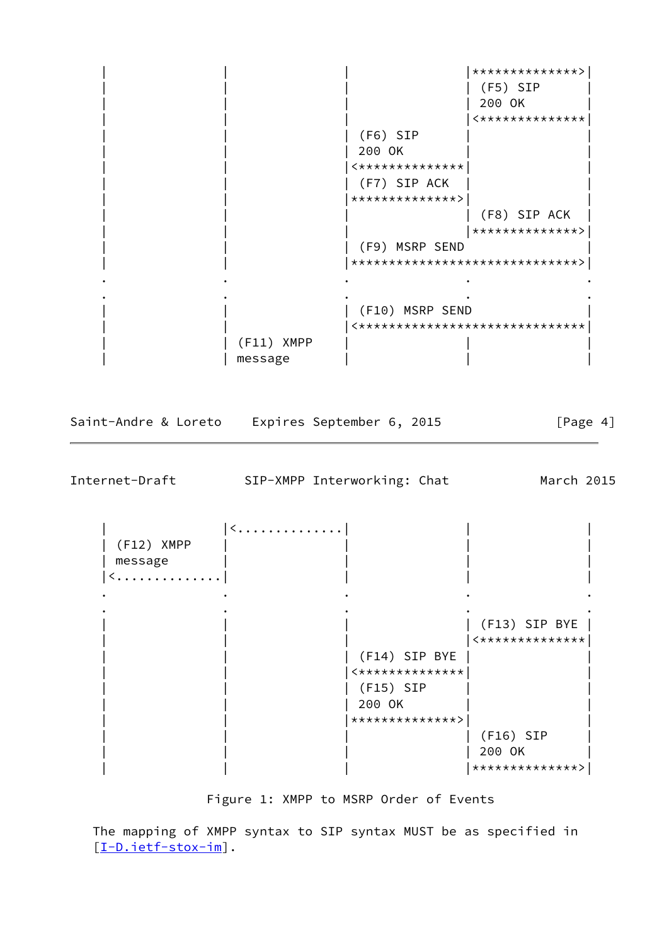| | | |\*\*\*\*\*\*\*\*\*\*\*\*\*\*>| | | | | (F5) SIP | | 200 OK  $|$  <\*\*\*\*\*\*\*\*\*\*\*\*\*\* | (F6) SIP | | | 200 OK | | | | |<\*\*\*\*\*\*\*\*\*\*\*\*\*\*| | (F7) SIP ACK | | |\*\*\*\*\*\*\*\*\*\*\*\*\*\*>| |  $|$  (F8) SIP ACK | | | |\*\*\*\*\*\*\*\*\*\*\*\*\*\*>| | | | (F9) MSRP SEND | | | |\*\*\*\*\*\*\*\*\*\*\*\*\*\*\*\*\*\*\*\*\*\*\*\*\*\*\*\*\*\*>| . The contract of the contract of the contract of the contract of the contract of the contract of the contract of the contract of the contract of the contract of the contract of the contract of the contract of the contrac . The contract of the contract of the contract of the contract of the contract of the contract of the contract of the contract of the contract of the contract of the contract of the contract of the contract of the contrac | (F10) MSRP SEND | | |<\*\*\*\*\*\*\*\*\*\*\*\*\*\*\*\*\*\*\*\*\*\*\*\*\*\*\*\*\*\*| | (F11) XMPP | | message | | |

Saint-Andre & Loreto Expires September 6, 2015 [Page 4]

Internet-Draft SIP-XMPP Interworking: Chat March 2015

 $|$  <  $\dots$   $\dots$   $\dots$   $\dots$   $\dots$   $\dots$  | (F12) XMPP | | | | | message | | | | |<..............| | | | . The contract of the contract of the contract of the contract of the contract of the contract of the contract of the contract of the contract of the contract of the contract of the contract of the contract of the contrac . The contract of the contract of the contract of the contract of the contract of the contract of the contract of the contract of the contract of the contract of the contract of the contract of the contract of the contrac | | | | (F13) SIP BYE |  $|$  <\*\*\*\*\*\*\*\*\*\*\*\*\*\* | | | (F14) SIP BYE | |  $|\times \times \times \times \times \times \times \times \times \times \times \times \times$ | (F15) SIP | 200 OK | | |\*\*\*\*\*\*\*\*\*\*\*\*\*\*>| | (F16) SIP | 200 OK | | | |\*\*\*\*\*\*\*\*\*\*\*\*\*\*>|

Figure 1: XMPP to MSRP Order of Events

 The mapping of XMPP syntax to SIP syntax MUST be as specified in [\[I-D.ietf-stox-im](#page-19-3)].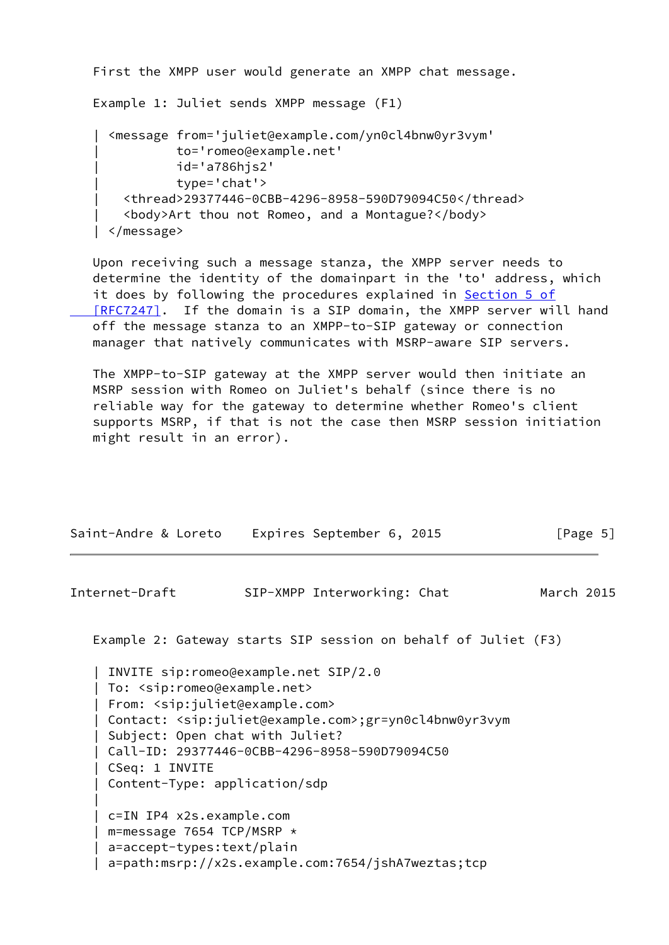```
 First the XMPP user would generate an XMPP chat message.
 Example 1: Juliet sends XMPP message (F1)
   | <message from='juliet@example.com/yn0cl4bnw0yr3vym'
             | to='romeo@example.net'
             | id='a786hjs2'
             | type='chat'>
     | <thread>29377446-0CBB-4296-8958-590D79094C50</thread>
     | <body>Art thou not Romeo, and a Montague?</body>
 | </message>
```
 Upon receiving such a message stanza, the XMPP server needs to determine the identity of the domainpart in the 'to' address, which it does by following the procedures explained in [Section](https://datatracker.ietf.org/doc/pdf/rfc7247#section-5) 5 of  [\[RFC7247\]](https://datatracker.ietf.org/doc/pdf/rfc7247#section-5). If the domain is a SIP domain, the XMPP server will hand off the message stanza to an XMPP-to-SIP gateway or connection manager that natively communicates with MSRP-aware SIP servers.

 The XMPP-to-SIP gateway at the XMPP server would then initiate an MSRP session with Romeo on Juliet's behalf (since there is no reliable way for the gateway to determine whether Romeo's client supports MSRP, if that is not the case then MSRP session initiation might result in an error).

| Saint-Andre & Loreto                                                                                                                                                   | Expires September 6, 2015                                                                                                                                                 | [Page $5$ ] |
|------------------------------------------------------------------------------------------------------------------------------------------------------------------------|---------------------------------------------------------------------------------------------------------------------------------------------------------------------------|-------------|
| Internet-Draft                                                                                                                                                         | SIP-XMPP Interworking: Chat                                                                                                                                               | March 2015  |
|                                                                                                                                                                        | Example 2: Gateway starts SIP session on behalf of Juliet (F3)                                                                                                            |             |
| To: <sip:romeo@example.net><br/>From: <sip:juliet@example.com><br/>Subject: Open chat with Juliet?<br/>CSeq: 1 INVITE</sip:juliet@example.com></sip:romeo@example.net> | INVITE sip: romeo@example.net SIP/2.0<br>Contact: <sip:juliet@example.com>;gr=yn0cl4bnw0yr3vym<br/>Call-ID: 29377446-0CBB-4296-8958-590D79094C50</sip:juliet@example.com> |             |

 | c=IN IP4 x2s.example.com | m=message 7654 TCP/MSRP \* | a=accept-types:text/plain | a=path:msrp://x2s.example.com:7654/jshA7weztas;tcp

| Content-Type: application/sdp

|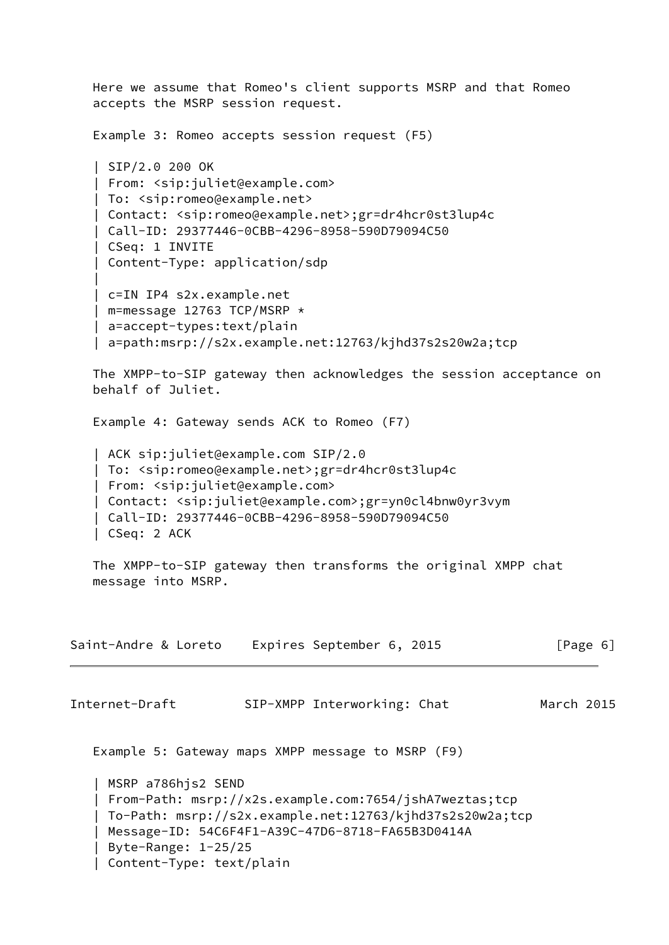Here we assume that Romeo's client supports MSRP and that Romeo accepts the MSRP session request. Example 3: Romeo accepts session request (F5) | SIP/2.0 200 OK | From: <sip:juliet@example.com> | To: <sip:romeo@example.net> | Contact: <sip:romeo@example.net>;gr=dr4hcr0st3lup4c | Call-ID: 29377446-0CBB-4296-8958-590D79094C50 | CSeq: 1 INVITE | Content-Type: application/sdp | | c=IN IP4 s2x.example.net | m=message 12763 TCP/MSRP \* | a=accept-types:text/plain | a=path:msrp://s2x.example.net:12763/kjhd37s2s20w2a;tcp The XMPP-to-SIP gateway then acknowledges the session acceptance on behalf of Juliet. Example 4: Gateway sends ACK to Romeo (F7) | ACK sip:juliet@example.com SIP/2.0 | To: <sip:romeo@example.net>;gr=dr4hcr0st3lup4c | From: <sip:juliet@example.com> | Contact: <sip:juliet@example.com>;gr=yn0cl4bnw0yr3vym | Call-ID: 29377446-0CBB-4296-8958-590D79094C50 | CSeq: 2 ACK The XMPP-to-SIP gateway then transforms the original XMPP chat message into MSRP. Saint-Andre & Loreto Expires September 6, 2015 [Page 6] Internet-Draft SIP-XMPP Interworking: Chat March 2015 Example 5: Gateway maps XMPP message to MSRP (F9) | MSRP a786hjs2 SEND | From-Path: msrp://x2s.example.com:7654/jshA7weztas;tcp | To-Path: msrp://s2x.example.net:12763/kjhd37s2s20w2a;tcp | Message-ID: 54C6F4F1-A39C-47D6-8718-FA65B3D0414A | Byte-Range: 1-25/25 | Content-Type: text/plain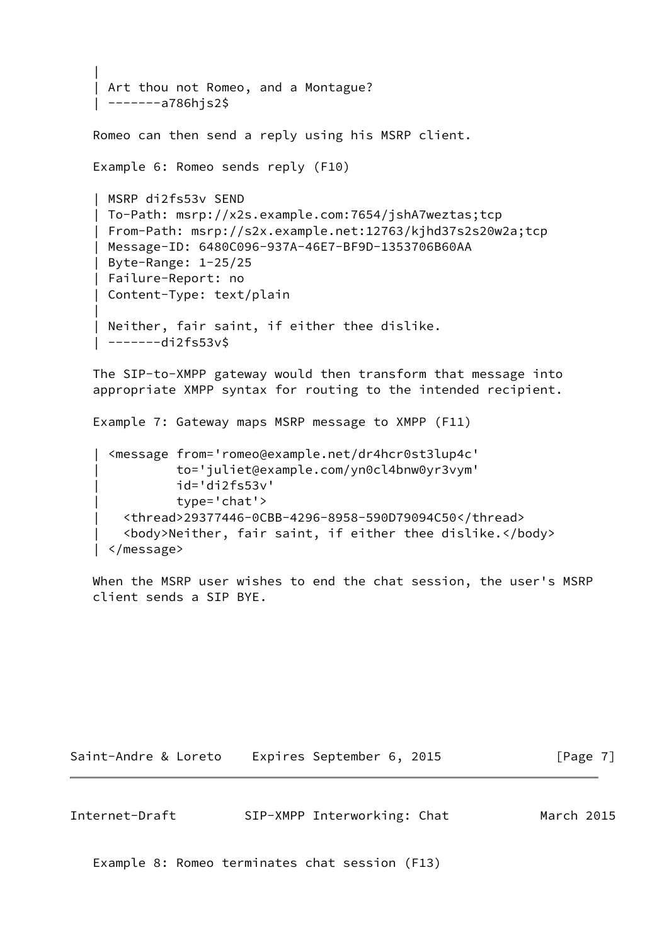```
 |
    Art thou not Romeo, and a Montague?
    | -------a786hjs2$
   Romeo can then send a reply using his MSRP client.
   Example 6: Romeo sends reply (F10)
    | MSRP di2fs53v SEND
    | To-Path: msrp://x2s.example.com:7654/jshA7weztas;tcp
    | From-Path: msrp://s2x.example.net:12763/kjhd37s2s20w2a;tcp
    | Message-ID: 6480C096-937A-46E7-BF9D-1353706B60AA
    | Byte-Range: 1-25/25
    | Failure-Report: no
    | Content-Type: text/plain
 |
    Neither, fair saint, if either thee dislike.
    | -------di2fs53v$
```
 The SIP-to-XMPP gateway would then transform that message into appropriate XMPP syntax for routing to the intended recipient.

Example 7: Gateway maps MSRP message to XMPP (F11)

```
 | <message from='romeo@example.net/dr4hcr0st3lup4c'
           | to='juliet@example.com/yn0cl4bnw0yr3vym'
           | id='di2fs53v'
           | type='chat'>
   | <thread>29377446-0CBB-4296-8958-590D79094C50</thread>
   | <body>Neither, fair saint, if either thee dislike.</body>
 | </message>
```
 When the MSRP user wishes to end the chat session, the user's MSRP client sends a SIP BYE.

Saint-Andre & Loreto Expires September 6, 2015 [Page 7]

<span id="page-7-0"></span>Internet-Draft SIP-XMPP Interworking: Chat March 2015

Example 8: Romeo terminates chat session (F13)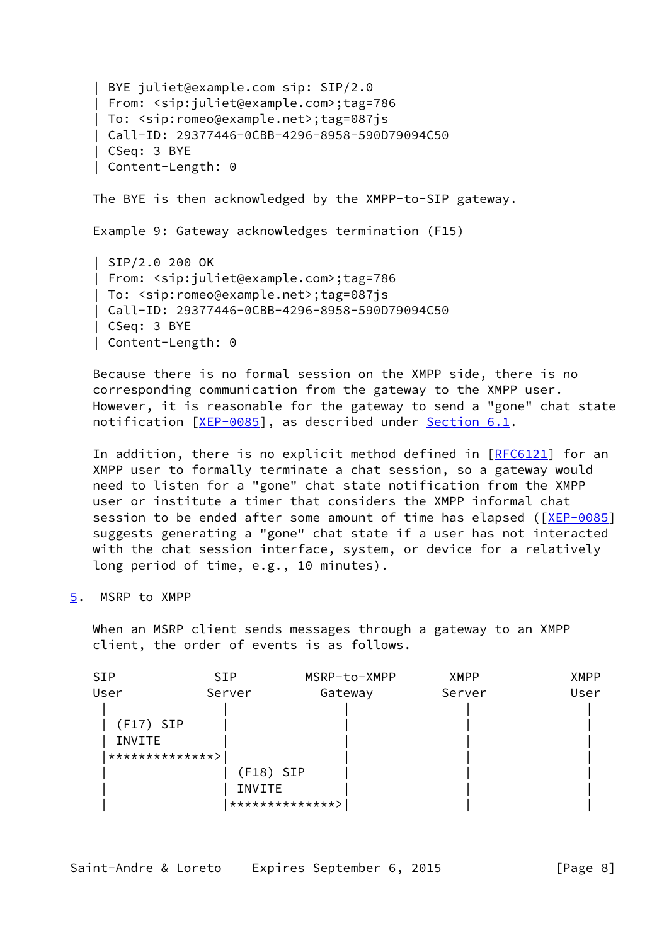| BYE juliet@example.com sip: SIP/2.0 | From: <sip:juliet@example.com>;tag=786 | To: <sip:romeo@example.net>;tag=087js | Call-ID: 29377446-0CBB-4296-8958-590D79094C50 | CSeq: 3 BYE | Content-Length: 0 The BYE is then acknowledged by the XMPP-to-SIP gateway. Example 9: Gateway acknowledges termination (F15) | SIP/2.0 200 OK | From: <sip:juliet@example.com>;tag=786 | To: <sip:romeo@example.net>;tag=087js | Call-ID: 29377446-0CBB-4296-8958-590D79094C50 | CSeq: 3 BYE | Content-Length: 0

 Because there is no formal session on the XMPP side, there is no corresponding communication from the gateway to the XMPP user. However, it is reasonable for the gateway to send a "gone" chat state notification [\[XEP-0085](#page-20-2)], as described under [Section 6.1.](#page-14-0)

In addition, there is no explicit method defined in [\[RFC6121](https://datatracker.ietf.org/doc/pdf/rfc6121)] for an XMPP user to formally terminate a chat session, so a gateway would need to listen for a "gone" chat state notification from the XMPP user or institute a timer that considers the XMPP informal chat session to be ended after some amount of time has elapsed ([[XEP-0085\]](#page-20-2) suggests generating a "gone" chat state if a user has not interacted with the chat session interface, system, or device for a relatively long period of time, e.g., 10 minutes).

<span id="page-8-0"></span>[5](#page-8-0). MSRP to XMPP

 When an MSRP client sends messages through a gateway to an XMPP client, the order of events is as follows.

| <b>SIP</b>      | MSRP-to-XMPP | <b>XMPP</b>                              | <b>XMPP</b> |
|-----------------|--------------|------------------------------------------|-------------|
| Server          | Gateway      | Server                                   | User        |
|                 |              |                                          |             |
| $(F17)$ SIP     |              |                                          |             |
|                 |              |                                          |             |
| **************> |              |                                          |             |
|                 |              |                                          |             |
|                 |              |                                          |             |
|                 |              |                                          |             |
|                 |              | $(F18)$ SIP<br>INVITE<br>*************** |             |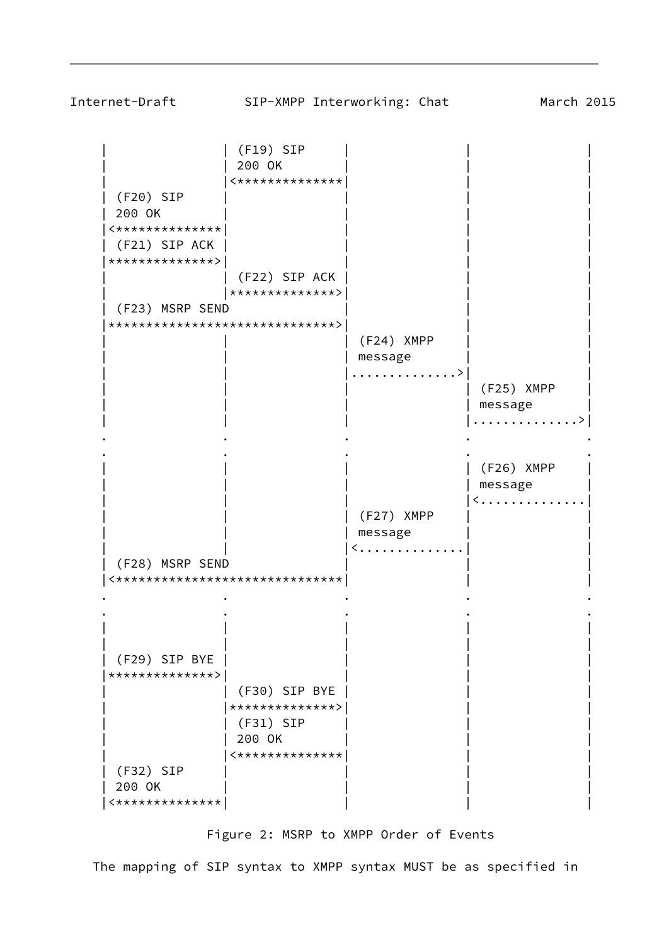

## Figure 2: MSRP to XMPP Order of Events

The mapping of SIP syntax to XMPP syntax MUST be as specified in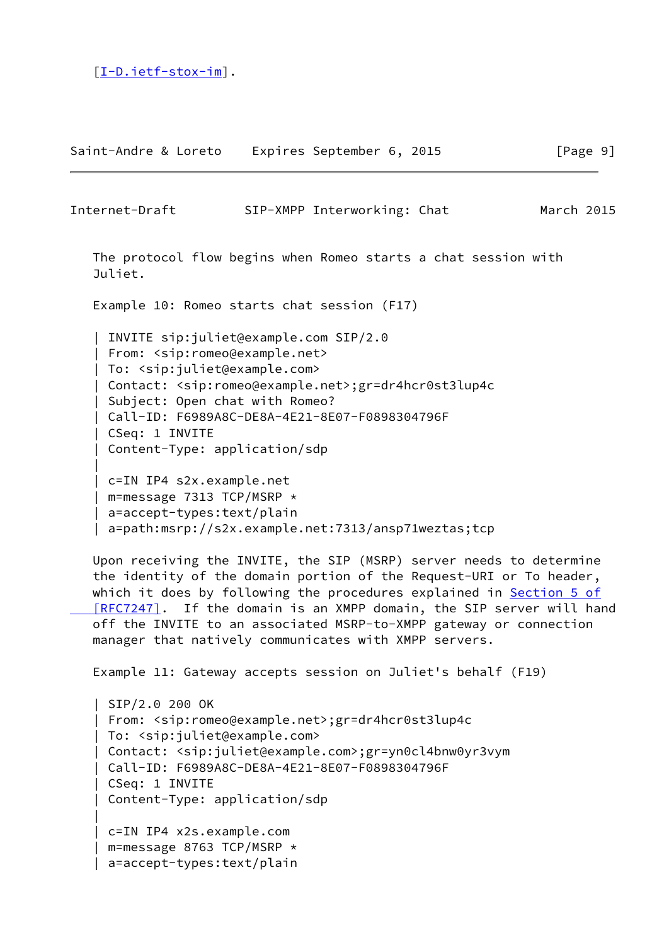[\[I-D.ietf-stox-im](#page-19-3)].

|

|

| Saint-Andre & Loreto | Expires September 6, 2015 | [Page 9] |
|----------------------|---------------------------|----------|
|                      |                           |          |

Internet-Draft SIP-XMPP Interworking: Chat March 2015

 The protocol flow begins when Romeo starts a chat session with Juliet.

Example 10: Romeo starts chat session (F17)

 | INVITE sip:juliet@example.com SIP/2.0 | From: <sip:romeo@example.net> | To: <sip:juliet@example.com> | Contact: <sip:romeo@example.net>;gr=dr4hcr0st3lup4c | Subject: Open chat with Romeo? | Call-ID: F6989A8C-DE8A-4E21-8E07-F0898304796F | CSeq: 1 INVITE | Content-Type: application/sdp | c=IN IP4 s2x.example.net | m=message 7313 TCP/MSRP \* | a=accept-types:text/plain

| a=path:msrp://s2x.example.net:7313/ansp71weztas;tcp

 Upon receiving the INVITE, the SIP (MSRP) server needs to determine the identity of the domain portion of the Request-URI or To header, which it does by following the procedures explained in [Section](https://datatracker.ietf.org/doc/pdf/rfc7247#section-5) 5 of [RFC7247]. If the domain is an XMPP domain, the SIP server will hand off the INVITE to an associated MSRP-to-XMPP gateway or connection manager that natively communicates with XMPP servers.

Example 11: Gateway accepts session on Juliet's behalf (F19)

```
 | SIP/2.0 200 OK
 | From: <sip:romeo@example.net>;gr=dr4hcr0st3lup4c
 | To: <sip:juliet@example.com>
 | Contact: <sip:juliet@example.com>;gr=yn0cl4bnw0yr3vym
 | Call-ID: F6989A8C-DE8A-4E21-8E07-F0898304796F
 | CSeq: 1 INVITE
 | Content-Type: application/sdp
 | c=IN IP4 x2s.example.com
 | m=message 8763 TCP/MSRP *
 | a=accept-types:text/plain
```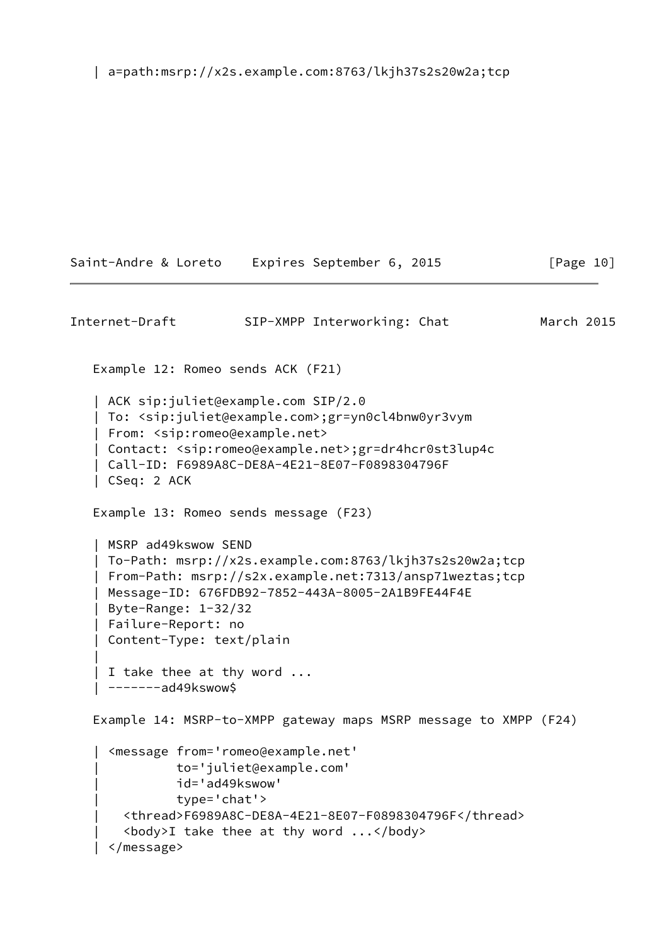| a=path:msrp://x2s.example.com:8763/lkjh37s2s20w2a;tcp

```
Internet-Draft SIP-XMPP Interworking: Chat March 2015
    Example 12: Romeo sends ACK (F21)
    | ACK sip:juliet@example.com SIP/2.0
    | To: <sip:juliet@example.com>;gr=yn0cl4bnw0yr3vym
    | From: <sip:romeo@example.net>
    | Contact: <sip:romeo@example.net>;gr=dr4hcr0st3lup4c
    | Call-ID: F6989A8C-DE8A-4E21-8E07-F0898304796F
    | CSeq: 2 ACK
    Example 13: Romeo sends message (F23)
    | MSRP ad49kswow SEND
    | To-Path: msrp://x2s.example.com:8763/lkjh37s2s20w2a;tcp
    | From-Path: msrp://s2x.example.net:7313/ansp71weztas;tcp
    | Message-ID: 676FDB92-7852-443A-8005-2A1B9FE44F4E
    | Byte-Range: 1-32/32
    | Failure-Report: no
    | Content-Type: text/plain
 |
   | I take thee at thy word ...
    | -------ad49kswow$
    Example 14: MSRP-to-XMPP gateway maps MSRP message to XMPP (F24)
      | <message from='romeo@example.net'
               | to='juliet@example.com'
               | id='ad49kswow'
               | type='chat'>
        | <thread>F6989A8C-DE8A-4E21-8E07-F0898304796F</thread>
       \left\langle \text{body}\right\rangleI take thee at thy word \ldots </body>
     | </message>
```
Saint-Andre & Loreto Expires September 6, 2015 [Page 10]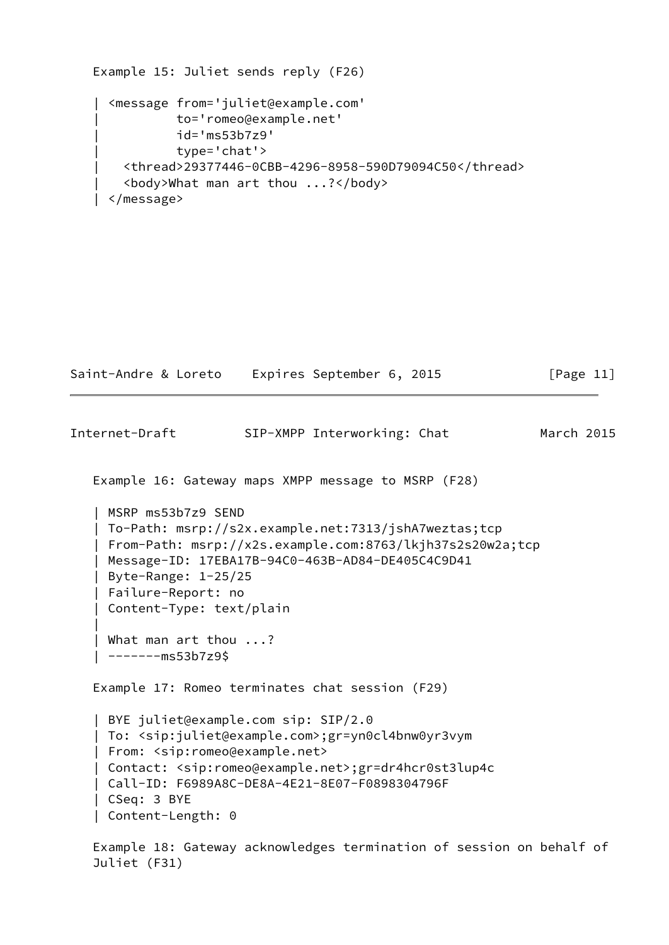```
 Example 15: Juliet sends reply (F26)
   | <message from='juliet@example.com'
             | to='romeo@example.net'
             | id='ms53b7z9'
             | type='chat'>
     | <thread>29377446-0CBB-4296-8958-590D79094C50</thread>
     | <body>What man art thou ...?</body>
  | </message>
```

```
Saint-Andre & Loreto Expires September 6, 2015 [Page 11]
Internet-Draft SIP-XMPP Interworking: Chat March 2015
   Example 16: Gateway maps XMPP message to MSRP (F28)
    | MSRP ms53b7z9 SEND
    | To-Path: msrp://s2x.example.net:7313/jshA7weztas;tcp
    | From-Path: msrp://x2s.example.com:8763/lkjh37s2s20w2a;tcp
    | Message-ID: 17EBA17B-94C0-463B-AD84-DE405C4C9D41
    | Byte-Range: 1-25/25
    | Failure-Report: no
    | Content-Type: text/plain
 |
    | What man art thou ...?
    | -------ms53b7z9$
   Example 17: Romeo terminates chat session (F29)
    | BYE juliet@example.com sip: SIP/2.0
    | To: <sip:juliet@example.com>;gr=yn0cl4bnw0yr3vym
    | From: <sip:romeo@example.net>
    | Contact: <sip:romeo@example.net>;gr=dr4hcr0st3lup4c
    | Call-ID: F6989A8C-DE8A-4E21-8E07-F0898304796F
    | CSeq: 3 BYE
```
 Example 18: Gateway acknowledges termination of session on behalf of Juliet (F31)

| Content-Length: 0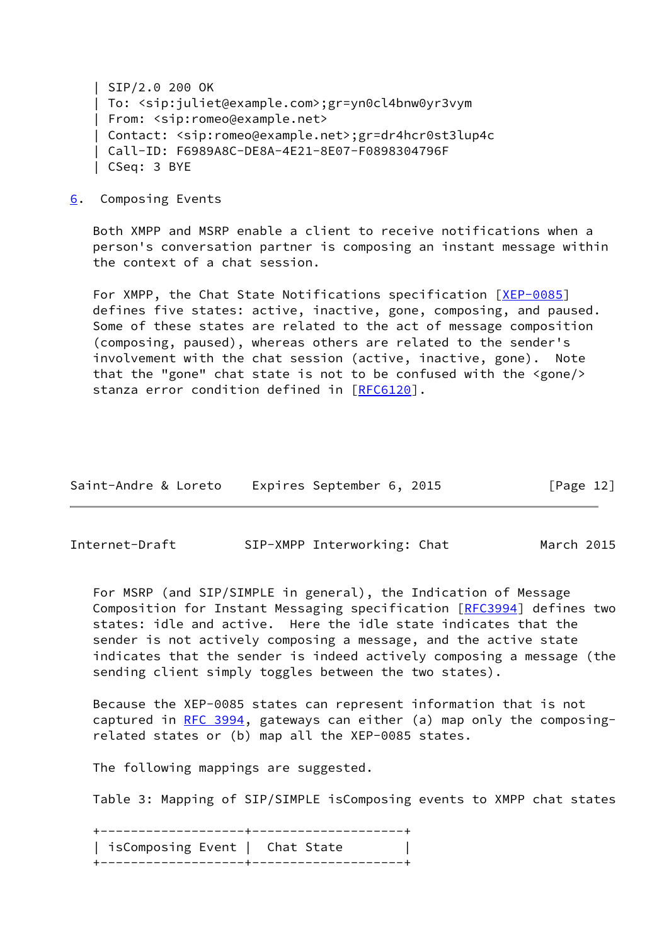| SIP/2.0 200 OK | To: <sip:juliet@example.com>;gr=yn0cl4bnw0yr3vym | From: <sip:romeo@example.net> | Contact: <sip:romeo@example.net>;gr=dr4hcr0st3lup4c | Call-ID: F6989A8C-DE8A-4E21-8E07-F0898304796F | CSeq: 3 BYE

<span id="page-13-0"></span>[6](#page-13-0). Composing Events

 Both XMPP and MSRP enable a client to receive notifications when a person's conversation partner is composing an instant message within the context of a chat session.

For XMPP, the Chat State Notifications specification [\[XEP-0085](#page-20-2)] defines five states: active, inactive, gone, composing, and paused. Some of these states are related to the act of message composition (composing, paused), whereas others are related to the sender's involvement with the chat session (active, inactive, gone). Note that the "gone" chat state is not to be confused with the <gone/> stanza error condition defined in [[RFC6120](https://datatracker.ietf.org/doc/pdf/rfc6120)].

| Saint-Andre & Loreto | Expires September 6, 2015 | [Page 12] |
|----------------------|---------------------------|-----------|
|----------------------|---------------------------|-----------|

Internet-Draft SIP-XMPP Interworking: Chat March 2015

 For MSRP (and SIP/SIMPLE in general), the Indication of Message Composition for Instant Messaging specification [\[RFC3994](https://datatracker.ietf.org/doc/pdf/rfc3994)] defines two states: idle and active. Here the idle state indicates that the sender is not actively composing a message, and the active state indicates that the sender is indeed actively composing a message (the sending client simply toggles between the two states).

 Because the XEP-0085 states can represent information that is not captured in [RFC 3994,](https://datatracker.ietf.org/doc/pdf/rfc3994) gateways can either (a) map only the composing related states or (b) map all the XEP-0085 states.

The following mappings are suggested.

Table 3: Mapping of SIP/SIMPLE isComposing events to XMPP chat states

 +-------------------+--------------------+ | isComposing Event | Chat State | +-------------------+--------------------+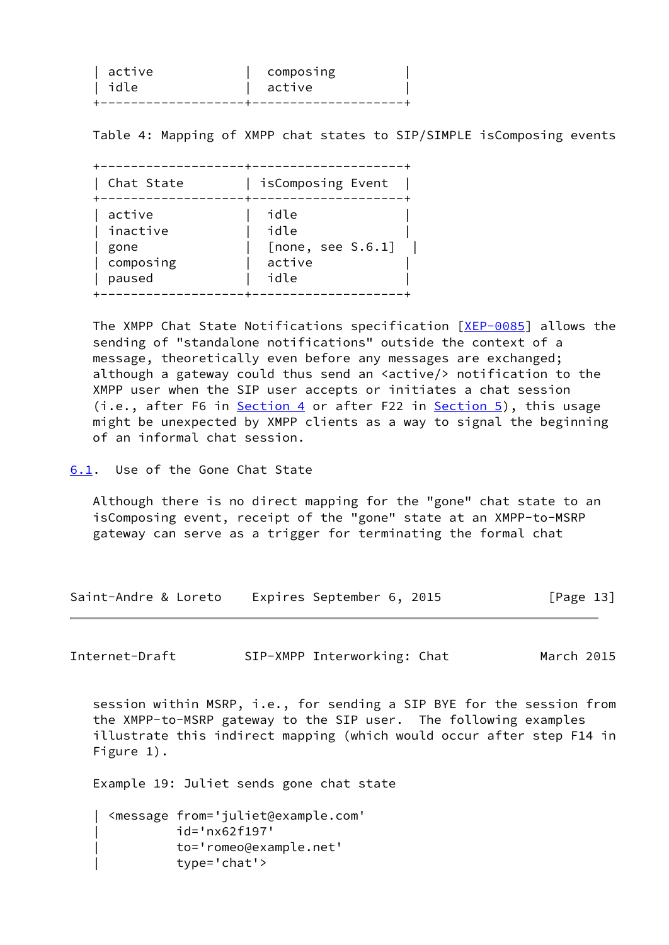| active | <b>COMPOSING</b> |
|--------|------------------|
| l idle | active           |
|        |                  |

Table 4: Mapping of XMPP chat states to SIP/SIMPLE isComposing events

| Chat State | isComposing Event |
|------------|-------------------|
| active     | idle              |
| inactive   | idle              |
| gone       | [none, see S.6.1] |
| composing  | active            |
| paused     | idle              |

 The XMPP Chat State Notifications specification [\[XEP-0085](#page-20-2)] allows the sending of "standalone notifications" outside the context of a message, theoretically even before any messages are exchanged; although a gateway could thus send an <active/> notification to the XMPP user when the SIP user accepts or initiates a chat session (i.e., after F6 in [Section 4](#page-3-1) or after F22 in [Section 5](#page-8-0)), this usage might be unexpected by XMPP clients as a way to signal the beginning of an informal chat session.

<span id="page-14-0"></span>[6.1](#page-14-0). Use of the Gone Chat State

 Although there is no direct mapping for the "gone" chat state to an isComposing event, receipt of the "gone" state at an XMPP-to-MSRP gateway can serve as a trigger for terminating the formal chat

Saint-Andre & Loreto Expires September 6, 2015 [Page 13]

Internet-Draft SIP-XMPP Interworking: Chat March 2015

 session within MSRP, i.e., for sending a SIP BYE for the session from the XMPP-to-MSRP gateway to the SIP user. The following examples illustrate this indirect mapping (which would occur after step F14 in Figure 1).

Example 19: Juliet sends gone chat state

 | <message from='juliet@example.com' | id='nx62f197' | to='romeo@example.net' | type='chat'>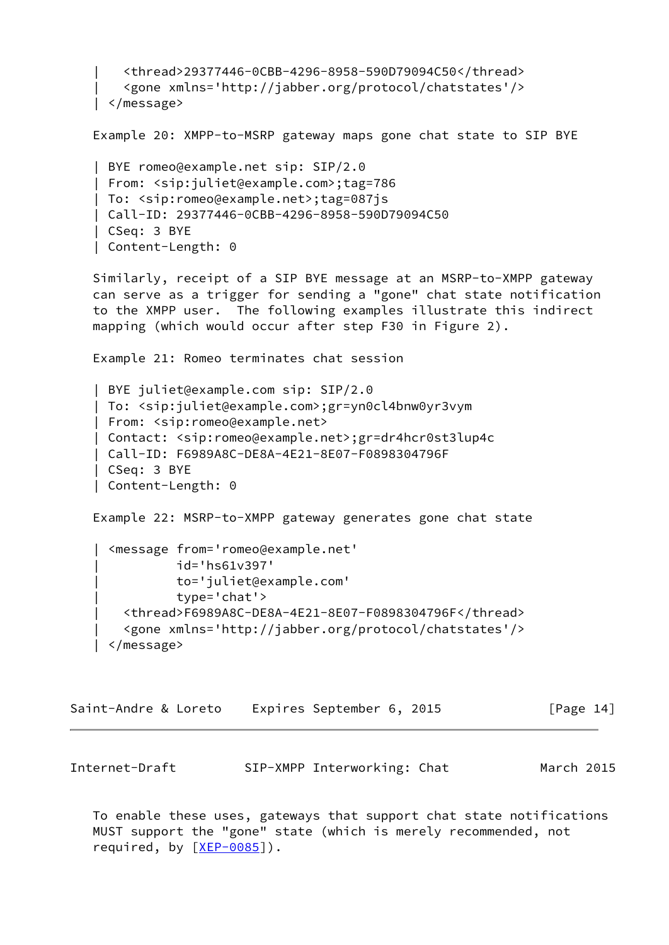```
 | <thread>29377446-0CBB-4296-8958-590D79094C50</thread>
        | <gone xmlns='http://jabber.org/protocol/chatstates'/>
    | </message>
    Example 20: XMPP-to-MSRP gateway maps gone chat state to SIP BYE
    | BYE romeo@example.net sip: SIP/2.0
    | From: <sip:juliet@example.com>;tag=786
    | To: <sip:romeo@example.net>;tag=087js
    | Call-ID: 29377446-0CBB-4296-8958-590D79094C50
    | CSeq: 3 BYE
    | Content-Length: 0
    Similarly, receipt of a SIP BYE message at an MSRP-to-XMPP gateway
    can serve as a trigger for sending a "gone" chat state notification
    to the XMPP user. The following examples illustrate this indirect
    mapping (which would occur after step F30 in Figure 2).
    Example 21: Romeo terminates chat session
    | BYE juliet@example.com sip: SIP/2.0
    | To: <sip:juliet@example.com>;gr=yn0cl4bnw0yr3vym
    | From: <sip:romeo@example.net>
    | Contact: <sip:romeo@example.net>;gr=dr4hcr0st3lup4c
    | Call-ID: F6989A8C-DE8A-4E21-8E07-F0898304796F
    | CSeq: 3 BYE
    | Content-Length: 0
    Example 22: MSRP-to-XMPP gateway generates gone chat state
    | <message from='romeo@example.net'
              | id='hs61v397'
               | to='juliet@example.com'
               | type='chat'>
        | <thread>F6989A8C-DE8A-4E21-8E07-F0898304796F</thread>
        | <gone xmlns='http://jabber.org/protocol/chatstates'/>
     | </message>
Saint-Andre & Loreto Expires September 6, 2015 [Page 14]
Internet-Draft SIP-XMPP Interworking: Chat March 2015
```
<span id="page-15-0"></span> To enable these uses, gateways that support chat state notifications MUST support the "gone" state (which is merely recommended, not required, by  $[XEP-0085]$  $[XEP-0085]$ .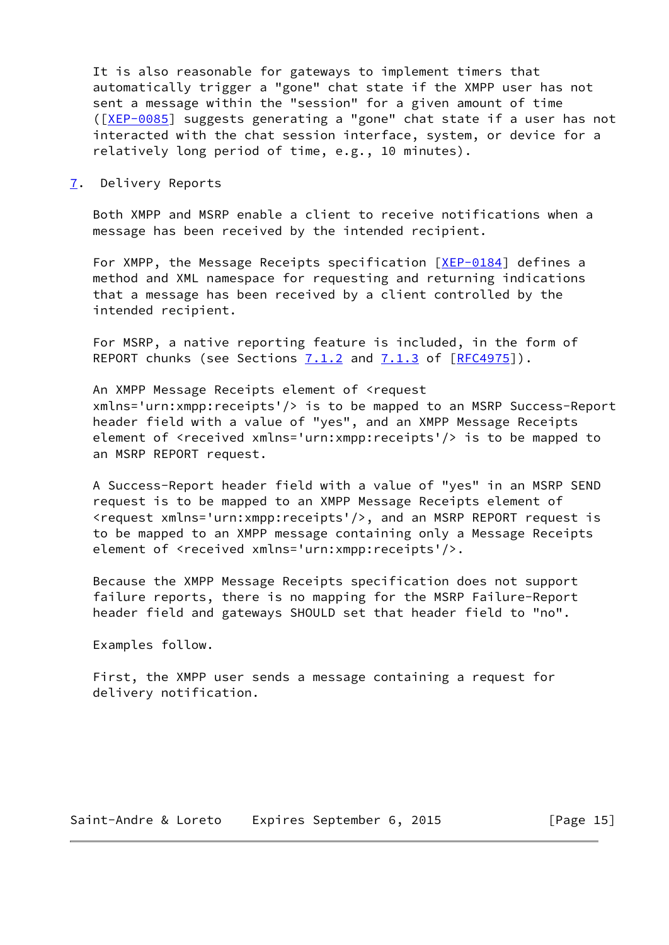It is also reasonable for gateways to implement timers that automatically trigger a "gone" chat state if the XMPP user has not sent a message within the "session" for a given amount of time ([\[XEP-0085](#page-20-2)] suggests generating a "gone" chat state if a user has not interacted with the chat session interface, system, or device for a relatively long period of time, e.g., 10 minutes).

<span id="page-16-0"></span>[7](#page-16-0). Delivery Reports

 Both XMPP and MSRP enable a client to receive notifications when a message has been received by the intended recipient.

For XMPP, the Message Receipts specification [\[XEP-0184](#page-20-3)] defines a method and XML namespace for requesting and returning indications that a message has been received by a client controlled by the intended recipient.

 For MSRP, a native reporting feature is included, in the form of REPORT chunks (see Sections  $7.1.2$  and  $7.1.3$  of  $[REC4975]$ ).

 An XMPP Message Receipts element of <request xmlns='urn:xmpp:receipts'/> is to be mapped to an MSRP Success-Report header field with a value of "yes", and an XMPP Message Receipts element of <received xmlns='urn:xmpp:receipts'/> is to be mapped to an MSRP REPORT request.

 A Success-Report header field with a value of "yes" in an MSRP SEND request is to be mapped to an XMPP Message Receipts element of <request xmlns='urn:xmpp:receipts'/>, and an MSRP REPORT request is to be mapped to an XMPP message containing only a Message Receipts element of <received xmlns='urn:xmpp:receipts'/>.

 Because the XMPP Message Receipts specification does not support failure reports, there is no mapping for the MSRP Failure-Report header field and gateways SHOULD set that header field to "no".

Examples follow.

 First, the XMPP user sends a message containing a request for delivery notification.

Saint-Andre & Loreto Expires September 6, 2015 [Page 15]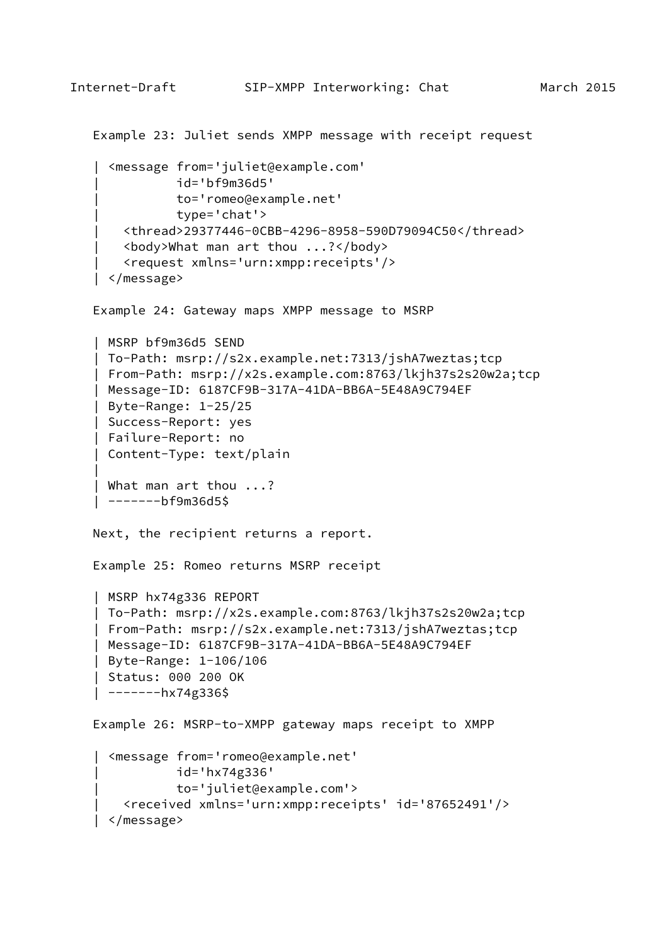```
 Example 23: Juliet sends XMPP message with receipt request
      | <message from='juliet@example.com'
               | id='bf9m36d5'
               | to='romeo@example.net'
               | type='chat'>
        | <thread>29377446-0CBB-4296-8958-590D79094C50</thread>
        | <body>What man art thou ...?</body>
        | <request xmlns='urn:xmpp:receipts'/>
     | </message>
    Example 24: Gateway maps XMPP message to MSRP
    | MSRP bf9m36d5 SEND
    | To-Path: msrp://s2x.example.net:7313/jshA7weztas;tcp
    | From-Path: msrp://x2s.example.com:8763/lkjh37s2s20w2a;tcp
    | Message-ID: 6187CF9B-317A-41DA-BB6A-5E48A9C794EF
    | Byte-Range: 1-25/25
    | Success-Report: yes
    | Failure-Report: no
    | Content-Type: text/plain
 |
    | What man art thou ...?
    | -------bf9m36d5$
   Next, the recipient returns a report.
   Example 25: Romeo returns MSRP receipt
    | MSRP hx74g336 REPORT
    | To-Path: msrp://x2s.example.com:8763/lkjh37s2s20w2a;tcp
    | From-Path: msrp://s2x.example.net:7313/jshA7weztas;tcp
    | Message-ID: 6187CF9B-317A-41DA-BB6A-5E48A9C794EF
    | Byte-Range: 1-106/106
    | Status: 000 200 OK
    | -------hx74g336$
   Example 26: MSRP-to-XMPP gateway maps receipt to XMPP
    | <message from='romeo@example.net'
               | id='hx74g336'
               | to='juliet@example.com'>
       | <received xmlns='urn:xmpp:receipts' id='87652491'/>
     | </message>
```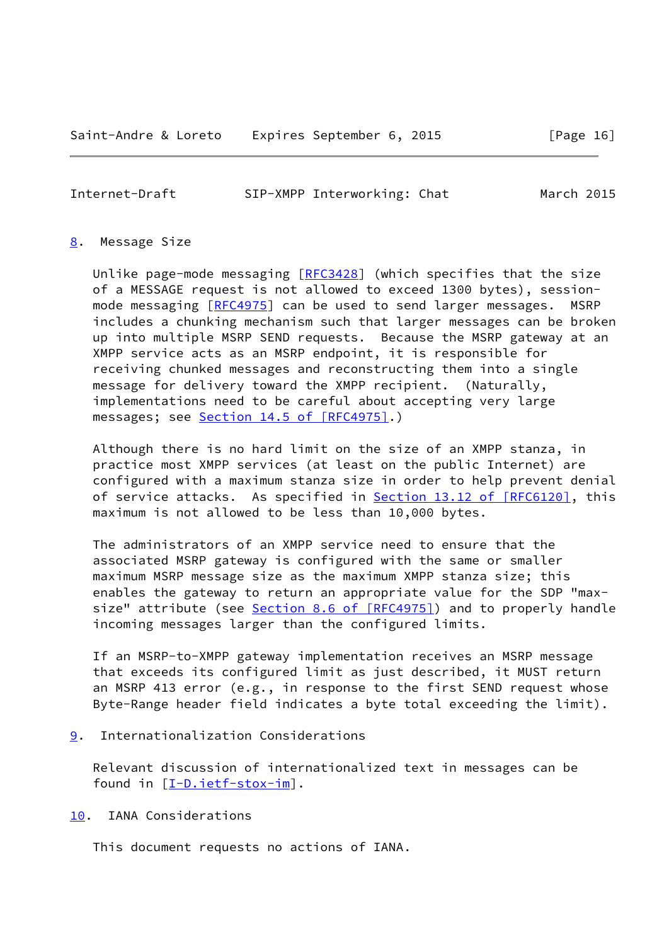<span id="page-18-1"></span>Internet-Draft SIP-XMPP Interworking: Chat March 2015

<span id="page-18-0"></span>[8](#page-18-0). Message Size

Unlike page-mode messaging  $[REC3428]$  (which specifies that the size of a MESSAGE request is not allowed to exceed 1300 bytes), session- mode messaging [\[RFC4975](https://datatracker.ietf.org/doc/pdf/rfc4975)] can be used to send larger messages. MSRP includes a chunking mechanism such that larger messages can be broken up into multiple MSRP SEND requests. Because the MSRP gateway at an XMPP service acts as an MSRP endpoint, it is responsible for receiving chunked messages and reconstructing them into a single message for delivery toward the XMPP recipient. (Naturally, implementations need to be careful about accepting very large messages; see Section [14.5 of \[RFC4975\].](https://datatracker.ietf.org/doc/pdf/rfc4975#section-14.5))

 Although there is no hard limit on the size of an XMPP stanza, in practice most XMPP services (at least on the public Internet) are configured with a maximum stanza size in order to help prevent denial of service attacks. As specified in **Section 13.12 of [RFC6120]**, this maximum is not allowed to be less than 10,000 bytes.

 The administrators of an XMPP service need to ensure that the associated MSRP gateway is configured with the same or smaller maximum MSRP message size as the maximum XMPP stanza size; this enables the gateway to return an appropriate value for the SDP "max- size" attribute (see Section [8.6 of \[RFC4975\]](https://datatracker.ietf.org/doc/pdf/rfc4975#section-8.6)) and to properly handle incoming messages larger than the configured limits.

 If an MSRP-to-XMPP gateway implementation receives an MSRP message that exceeds its configured limit as just described, it MUST return an MSRP 413 error (e.g., in response to the first SEND request whose Byte-Range header field indicates a byte total exceeding the limit).

<span id="page-18-2"></span>[9](#page-18-2). Internationalization Considerations

 Relevant discussion of internationalized text in messages can be found in [\[I-D.ietf-stox-im](#page-19-3)].

<span id="page-18-3"></span>[10.](#page-18-3) IANA Considerations

This document requests no actions of IANA.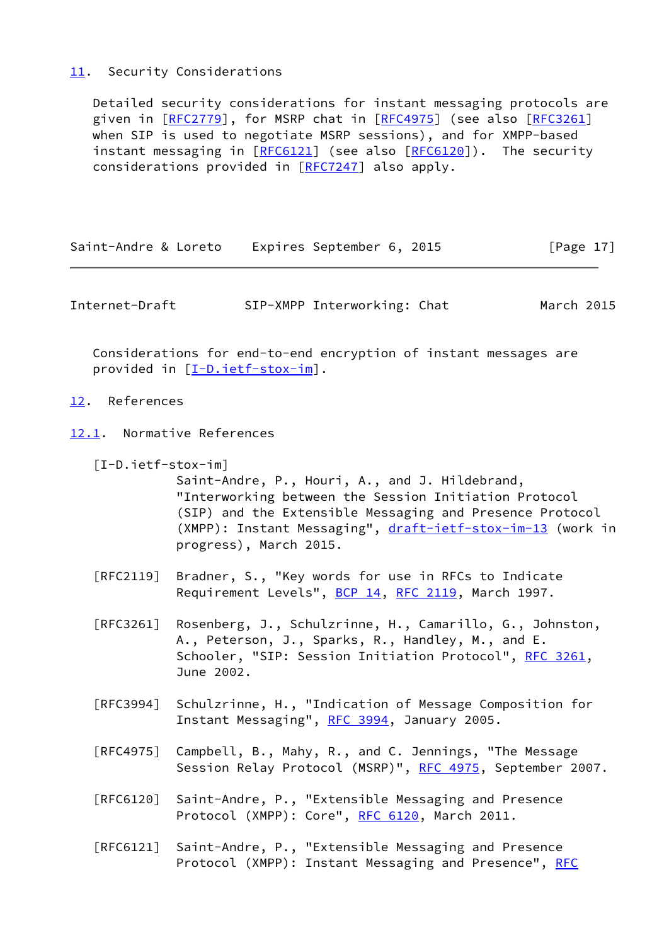# <span id="page-19-0"></span>[11.](#page-19-0) Security Considerations

 Detailed security considerations for instant messaging protocols are given in [\[RFC2779](https://datatracker.ietf.org/doc/pdf/rfc2779)], for MSRP chat in [\[RFC4975](https://datatracker.ietf.org/doc/pdf/rfc4975)] (see also [\[RFC3261](https://datatracker.ietf.org/doc/pdf/rfc3261)] when SIP is used to negotiate MSRP sessions), and for XMPP-based instant messaging in [\[RFC6121](https://datatracker.ietf.org/doc/pdf/rfc6121)] (see also [\[RFC6120](https://datatracker.ietf.org/doc/pdf/rfc6120)]). The security considerations provided in [[RFC7247\]](https://datatracker.ietf.org/doc/pdf/rfc7247) also apply.

| Saint-Andre & Loreto | Expires September 6, 2015 | [Page 17] |
|----------------------|---------------------------|-----------|
|----------------------|---------------------------|-----------|

<span id="page-19-2"></span>Internet-Draft SIP-XMPP Interworking: Chat March 2015

 Considerations for end-to-end encryption of instant messages are provided in [\[I-D.ietf-stox-im](#page-19-3)].

- <span id="page-19-1"></span>[12.](#page-19-1) References
- <span id="page-19-4"></span><span id="page-19-3"></span>[12.1](#page-19-4). Normative References
	- [I-D.ietf-stox-im]

 Saint-Andre, P., Houri, A., and J. Hildebrand, "Interworking between the Session Initiation Protocol (SIP) and the Extensible Messaging and Presence Protocol (XMPP): Instant Messaging", [draft-ietf-stox-im-13](https://datatracker.ietf.org/doc/pdf/draft-ietf-stox-im-13) (work in progress), March 2015.

- [RFC2119] Bradner, S., "Key words for use in RFCs to Indicate Requirement Levels", [BCP 14](https://datatracker.ietf.org/doc/pdf/bcp14), [RFC 2119](https://datatracker.ietf.org/doc/pdf/rfc2119), March 1997.
- [RFC3261] Rosenberg, J., Schulzrinne, H., Camarillo, G., Johnston, A., Peterson, J., Sparks, R., Handley, M., and E. Schooler, "SIP: Session Initiation Protocol", [RFC 3261](https://datatracker.ietf.org/doc/pdf/rfc3261), June 2002.
- [RFC3994] Schulzrinne, H., "Indication of Message Composition for Instant Messaging", [RFC 3994,](https://datatracker.ietf.org/doc/pdf/rfc3994) January 2005.
- [RFC4975] Campbell, B., Mahy, R., and C. Jennings, "The Message Session Relay Protocol (MSRP)", [RFC 4975,](https://datatracker.ietf.org/doc/pdf/rfc4975) September 2007.
- [RFC6120] Saint-Andre, P., "Extensible Messaging and Presence Protocol (XMPP): Core", [RFC 6120,](https://datatracker.ietf.org/doc/pdf/rfc6120) March 2011.
- [RFC6121] Saint-Andre, P., "Extensible Messaging and Presence Protocol (XMPP): Instant Messaging and Presence", [RFC](https://datatracker.ietf.org/doc/pdf/rfc6121)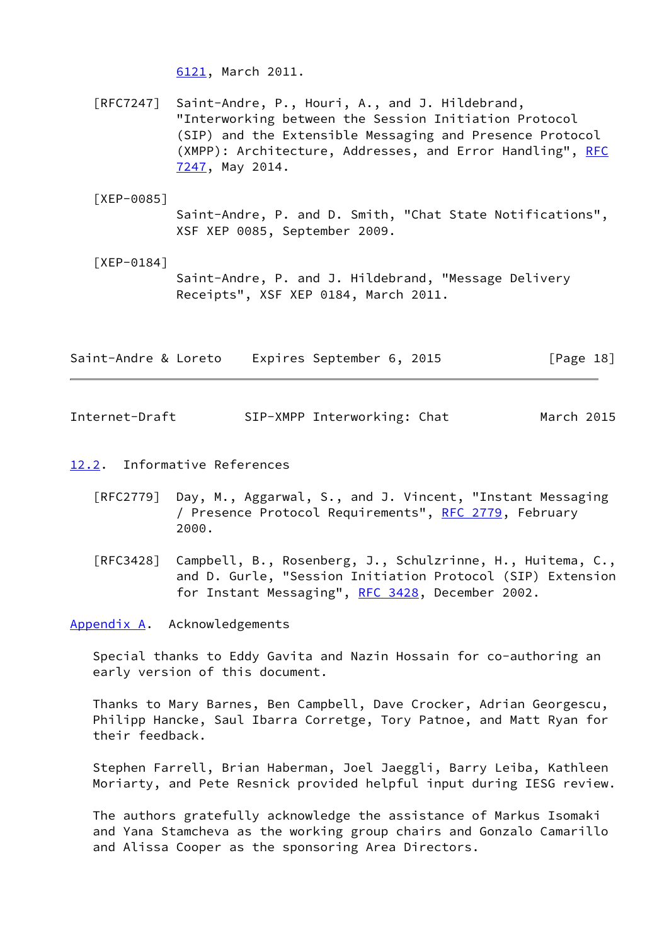[6121,](https://datatracker.ietf.org/doc/pdf/rfc6121) March 2011.

 [RFC7247] Saint-Andre, P., Houri, A., and J. Hildebrand, "Interworking between the Session Initiation Protocol (SIP) and the Extensible Messaging and Presence Protocol (XMPP): Architecture, Addresses, and Error Handling", [RFC](https://datatracker.ietf.org/doc/pdf/rfc7247) [7247,](https://datatracker.ietf.org/doc/pdf/rfc7247) May 2014.

<span id="page-20-2"></span>[XEP-0085]

 Saint-Andre, P. and D. Smith, "Chat State Notifications", XSF XEP 0085, September 2009.

<span id="page-20-3"></span> [XEP-0184] Saint-Andre, P. and J. Hildebrand, "Message Delivery Receipts", XSF XEP 0184, March 2011.

| Saint-Andre & Loreto | Expires September 6, 2015 | [Page 18] |
|----------------------|---------------------------|-----------|
|                      |                           |           |

<span id="page-20-1"></span>Internet-Draft SIP-XMPP Interworking: Chat March 2015

<span id="page-20-4"></span>[12.2](#page-20-4). Informative References

- [RFC2779] Day, M., Aggarwal, S., and J. Vincent, "Instant Messaging / Presence Protocol Requirements", [RFC 2779](https://datatracker.ietf.org/doc/pdf/rfc2779), February 2000.
- [RFC3428] Campbell, B., Rosenberg, J., Schulzrinne, H., Huitema, C., and D. Gurle, "Session Initiation Protocol (SIP) Extension for Instant Messaging", [RFC 3428,](https://datatracker.ietf.org/doc/pdf/rfc3428) December 2002.

<span id="page-20-0"></span>[Appendix A.](#page-20-0) Acknowledgements

 Special thanks to Eddy Gavita and Nazin Hossain for co-authoring an early version of this document.

 Thanks to Mary Barnes, Ben Campbell, Dave Crocker, Adrian Georgescu, Philipp Hancke, Saul Ibarra Corretge, Tory Patnoe, and Matt Ryan for their feedback.

 Stephen Farrell, Brian Haberman, Joel Jaeggli, Barry Leiba, Kathleen Moriarty, and Pete Resnick provided helpful input during IESG review.

 The authors gratefully acknowledge the assistance of Markus Isomaki and Yana Stamcheva as the working group chairs and Gonzalo Camarillo and Alissa Cooper as the sponsoring Area Directors.